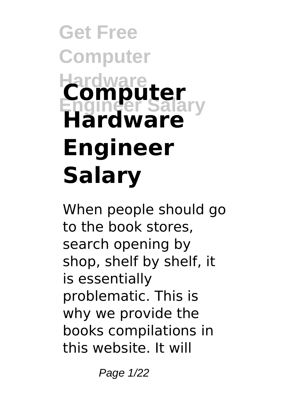# **Get Free Computer Hardware Engineer Salary Computer Hardware Engineer Salary**

When people should go to the book stores, search opening by shop, shelf by shelf, it is essentially problematic. This is why we provide the books compilations in this website. It will

Page 1/22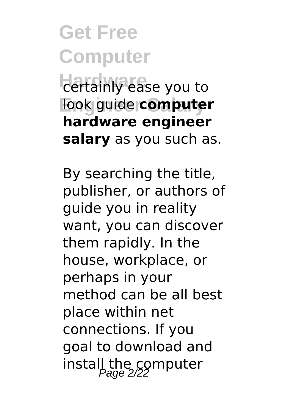**Get Free Computer Hartainly ease you to** look guide **computer hardware engineer salary** as you such as.

By searching the title, publisher, or authors of guide you in reality want, you can discover them rapidly. In the house, workplace, or perhaps in your method can be all best place within net connections. If you goal to download and install the computer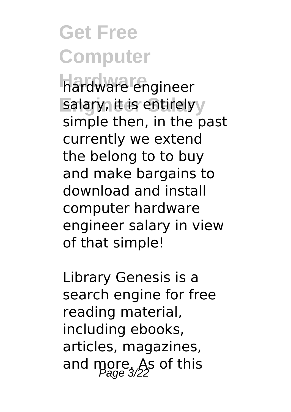**Hardware** hardware engineer **salary, it is entirely** simple then, in the past currently we extend the belong to to buy and make bargains to download and install computer hardware engineer salary in view of that simple!

Library Genesis is a search engine for free reading material, including ebooks, articles, magazines, and more,  $\overline{A}$ s of this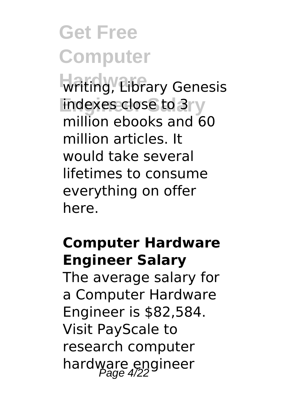**Get Free Computer Hardware** writing, Library Genesis indexes close to 3ry million ebooks and 60 million articles. It would take several lifetimes to consume

everything on offer here.

### **Computer Hardware Engineer Salary**

The average salary for a Computer Hardware Engineer is \$82,584. Visit PayScale to research computer hardware engineer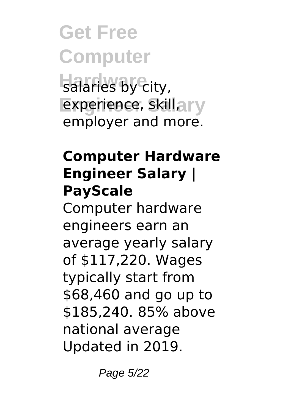**Get Free Computer Hardware** salaries by city, experience, skill, ary employer and more.

### **Computer Hardware Engineer Salary | PayScale**

Computer hardware engineers earn an average yearly salary of \$117,220. Wages typically start from \$68,460 and go up to \$185,240. 85% above national average Updated in 2019.

Page 5/22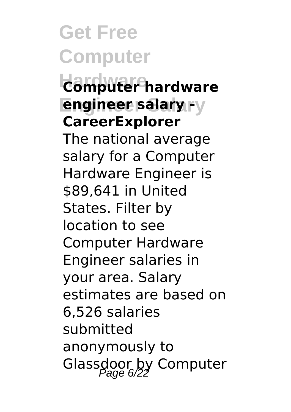**Get Free Computer Hardware Computer hardware Engineer Salary engineer salary ‐ CareerExplorer** The national average salary for a Computer Hardware Engineer is \$89,641 in United States. Filter by location to see Computer Hardware Engineer salaries in your area. Salary estimates are based on 6,526 salaries submitted anonymously to Glassdoor by Computer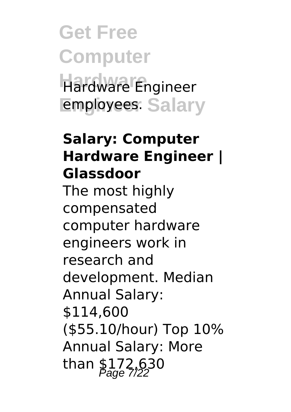**Get Free Computer Hardware** Hardware Engineer **Employees**: Salary

### **Salary: Computer Hardware Engineer | Glassdoor**

The most highly compensated computer hardware engineers work in research and development. Median Annual Salary: \$114,600 (\$55.10/hour) Top 10% Annual Salary: More than  $$172,630$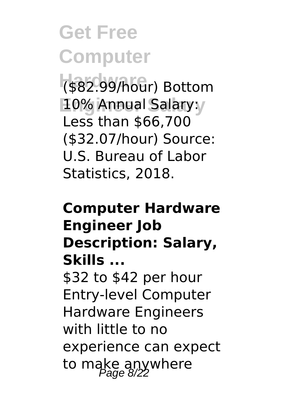**Hardware** (\$82.99/hour) Bottom **Engineer Salary** 10% Annual Salary: Less than \$66,700 (\$32.07/hour) Source: U.S. Bureau of Labor Statistics, 2018.

## **Computer Hardware Engineer Job Description: Salary, Skills ...** \$32 to \$42 per hour Entry-level Computer Hardware Engineers with little to no experience can expect to make anywhere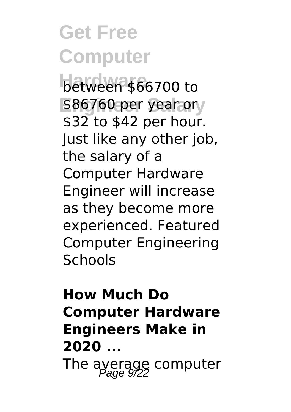**Get Free Computer between \$66700 to** \$86760 per year ory \$32 to \$42 per hour. Just like any other job, the salary of a Computer Hardware Engineer will increase as they become more experienced. Featured Computer Engineering Schools

## **How Much Do Computer Hardware Engineers Make in 2020 ...** The average computer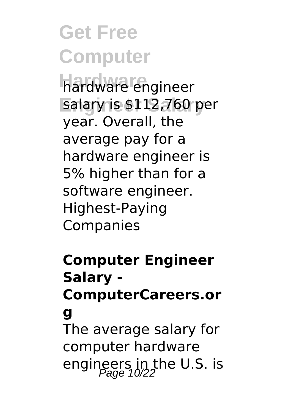**Hardware** hardware engineer **Engineer Salary** salary is \$112,760 per year. Overall, the average pay for a hardware engineer is 5% higher than for a software engineer. Highest-Paying Companies

## **Computer Engineer Salary - ComputerCareers.or g** The average salary for computer hardware engineers in the U.S. is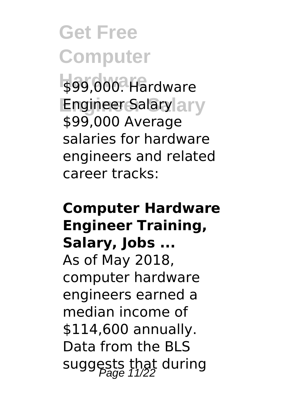**Get Free Computer Hardware** \$99,000. Hardware **Engineer Salary** Engineer Salary \$99,000 Average salaries for hardware engineers and related career tracks:

## **Computer Hardware Engineer Training, Salary, Jobs ...** As of May 2018, computer hardware engineers earned a median income of \$114,600 annually. Data from the BLS suggests that during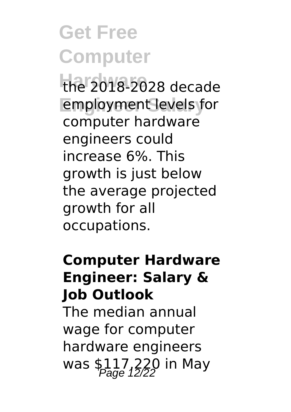**Get Free Computer Hardware** the 2018-2028 decade **Employment levels for** computer hardware engineers could increase 6%. This growth is just below the average projected growth for all occupations.

### **Computer Hardware Engineer: Salary & Job Outlook**

The median annual wage for computer hardware engineers was  $$117,220$  in May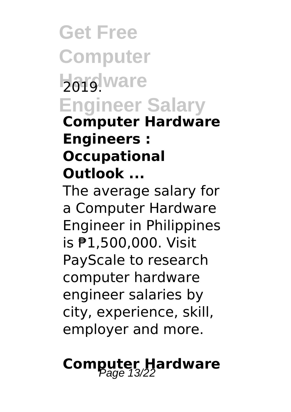**Get Free Computer Hargware Engineer Salary Computer Hardware Engineers : Occupational Outlook ...**

The average salary for a Computer Hardware Engineer in Philippines is ₱1,500,000. Visit PayScale to research computer hardware engineer salaries by city, experience, skill, employer and more.

# **Computer Hardware**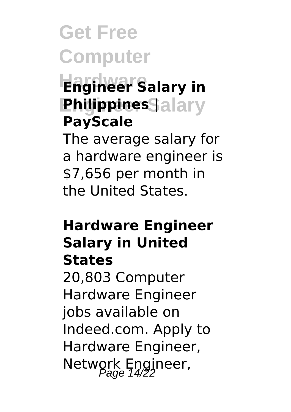## **Hardware Engineer Salary in Engineer Salary Philippines | PayScale**

The average salary for a hardware engineer is \$7,656 per month in the United States.

### **Hardware Engineer Salary in United States**

20,803 Computer Hardware Engineer jobs available on Indeed.com. Apply to Hardware Engineer, Network Engineer,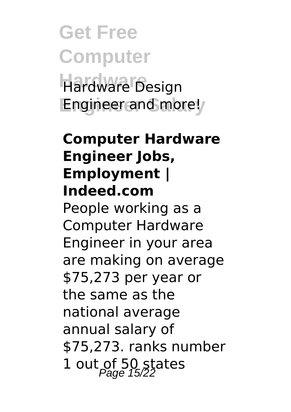**Get Free Computer Hardware** Hardware Design **Engineer and more!** 

### **Computer Hardware Engineer Jobs, Employment | Indeed.com** People working as a Computer Hardware Engineer in your area are making on average \$75,273 per year or the same as the national average annual salary of \$75,273. ranks number 1 out of 50 states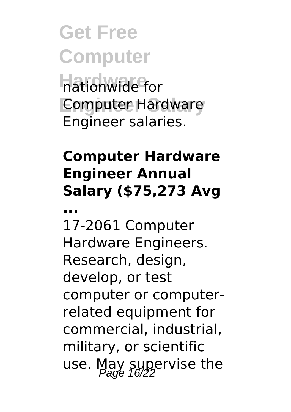**Get Free Computer Hardware** nationwide for **Computer Hardware** Engineer salaries.

## **Computer Hardware Engineer Annual Salary (\$75,273 Avg**

**...**

17-2061 Computer Hardware Engineers. Research, design, develop, or test computer or computerrelated equipment for commercial, industrial, military, or scientific use. May supervise the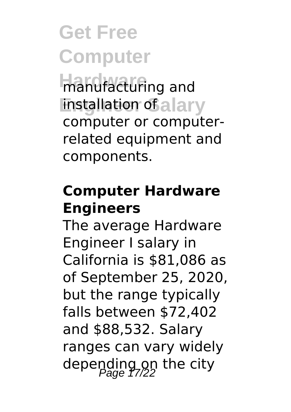**Get Free Computer Hanufacturing and installation of alary** computer or computerrelated equipment and components.

### **Computer Hardware Engineers**

The average Hardware Engineer I salary in California is \$81,086 as of September 25, 2020, but the range typically falls between \$72,402 and \$88,532. Salary ranges can vary widely depending on the city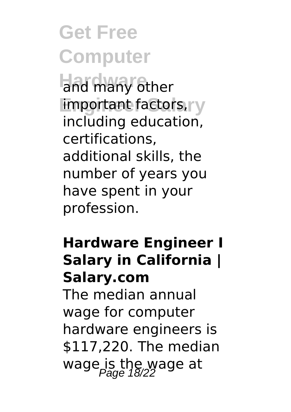**Get Free Computer Hand many other** important factors, including education, certifications,

additional skills, the number of years you have spent in your profession.

### **Hardware Engineer I Salary in California | Salary.com**

The median annual wage for computer hardware engineers is \$117,220. The median wage is the wage at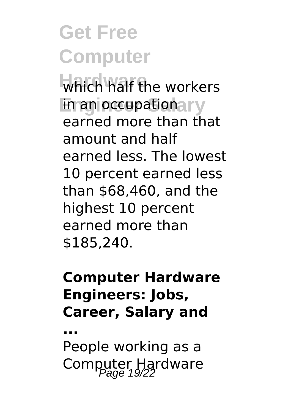which half the workers in an occupation ary earned more than that amount and half earned less. The lowest 10 percent earned less than \$68,460, and the highest 10 percent earned more than \$185,240.

### **Computer Hardware Engineers: Jobs, Career, Salary and**

**...**

People working as a Computer Hardware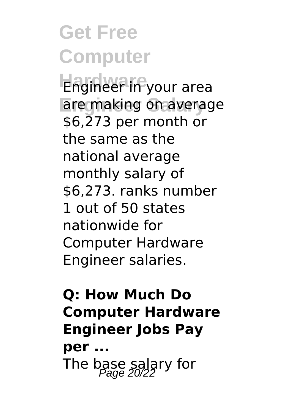**Get Free Computer Hardware** Engineer in your area are making on average  $$6,\overline{2}73$  per month or the same as the national average monthly salary of \$6,273. ranks number 1 out of 50 states nationwide for Computer Hardware Engineer salaries.

## **Q: How Much Do Computer Hardware Engineer Jobs Pay per ...** The base salary for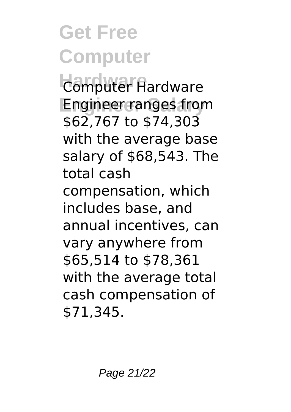*<u>Computer</u>* Hardware **Engineer ranges from** \$62,767 to \$74,303 with the average base salary of \$68,543. The total cash compensation, which

includes base, and annual incentives, can vary anywhere from \$65,514 to \$78,361 with the average total cash compensation of \$71,345.